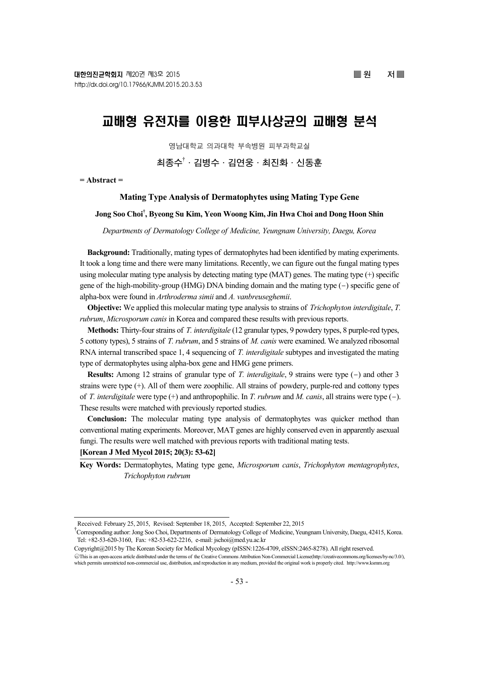# 교배형 유전자를 이용한 피부사상균의 교배형 분석

영남대학교 의과대학 부속병원 피부과학교실

# **최종수**† **·김병수·김연웅·최진화·신동훈**

**= Abstract =** 

#### **Mating Type Analysis of Dermatophytes using Mating Type Gene**

# **Jong Soo Choi† , Byeong Su Kim, Yeon Woong Kim, Jin Hwa Choi and Dong Hoon Shin**

*Departments of Dermatology College of Medicine, Yeungnam University, Daegu, Korea* 

**Background:** Traditionally, mating types of dermatophytes had been identified by mating experiments. It took a long time and there were many limitations. Recently, we can figure out the fungal mating types using molecular mating type analysis by detecting mating type (MAT) genes. The mating type (+) specific gene of the high-mobility-group (HMG) DNA binding domain and the mating type (-) specific gene of alpha-box were found in *Arthroderma simii* and *A. vanbreuseghemii*.

**Objective:** We applied this molecular mating type analysis to strains of *Trichophyton interdigitale*, *T. rubrum*, *Microsporum canis* in Korea and compared these results with previous reports.

**Methods:** Thirty-four strains of *T. interdigitale* (12 granular types, 9 powdery types, 8 purple-red types, 5 cottony types), 5 strains of *T. rubrum*, and 5 strains of *M. canis* were examined. We analyzed ribosomal RNA internal transcribed space 1, 4 sequencing of *T. interdigitale* subtypes and investigated the mating type of dermatophytes using alpha-box gene and HMG gene primers.

**Results:** Among 12 strains of granular type of *T. interdigitale*, 9 strains were type (-) and other 3 strains were type (+). All of them were zoophilic. All strains of powdery, purple-red and cottony types of *T. interdigitale* were type (+) and anthropophilic. In *T. rubrum* and *M. canis*, all strains were type (-). These results were matched with previously reported studies.

**Conclusion:** The molecular mating type analysis of dermatophytes was quicker method than conventional mating experiments. Moreover, MAT genes are highly conserved even in apparently asexual fungi. The results were well matched with previous reports with traditional mating tests.

# **[Korean J Med Mycol 2015; 20(3): 53-62]**

**Key Words:** Dermatophytes, Mating type gene, *Microsporum canis*, *Trichophyton mentagrophytes*, *Trichophyton rubrum*

Received: February 25, 2015, Revised: September 18, 2015, Accepted: September 22, 2015

<sup>†</sup> Corresponding author: Jong Soo Choi, Departments of Dermatology College of Medicine, Yeungnam University, Daegu, 42415, Korea. Tel: +82-53-620-3160, Fax: +82-53-622-2216, e-mail: jschoi@med.yu.ac.kr

Copyright@2015 by The Korean Society for Medical Mycology (pISSN:1226-4709, eISSN:2465-8278). All right reserved. ○cc This is an open-access article distributed under the terms of the Creative Commons Attribution Non-Commercial License(http://creativecommons.org/licenses/by-nc/3.0/),

which permits unrestricted non-commercial use, distribution, and reproduction in any medium, provided the original work is properly cited. http://www.ksmm.org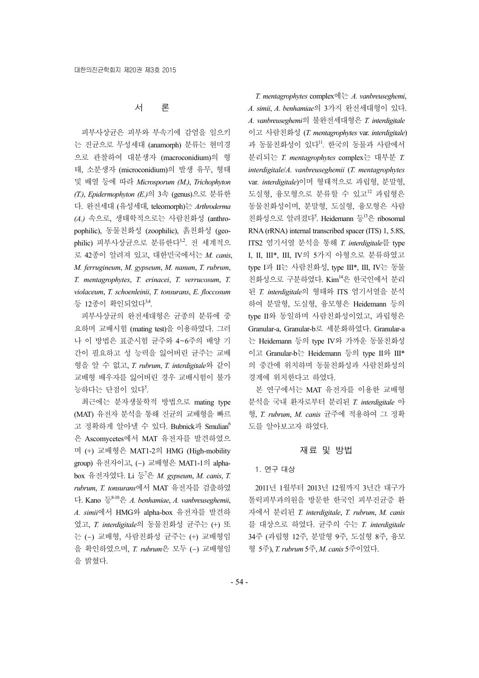# 서 론

피부사상균은 피부와 부속기에 감염을 일으키 는 진균으로 무성세대 (anamorph) 분류는 현미경 으로 관찰하여 대분생자 (macroconidium)의 형 태, 소분생자 (microconidium)의 발생 유무, 형태 및 배열 등에 따라 *Microsporum (M.)*, *Trichophyton (T.)*, *Epidermophyton (E.)*의 3속 (genus)으로 분류한 다. 완전세대 (유성세대, teleomorph)는 *Arthroderma (A.)* 속으로, 생태학적으로는 사람친화성 (anthropophilic), 동물친화성 (zoophilic), 흙친화성 (geophilic) 피부사상균으로 분류한다<sup>1,2</sup>. 전 세계적으 로 42종이 알려져 있고, 대한민국에서는 *M. canis*, *M. ferrugineum*, *M. gypseum*, *M. nanum*, *T. rubrum*, *T. mentagrophytes*, *T. erinacei*, *T. verrucosum*, *T. violaceum*, *T. schoenleinii*, *T. tonsurans*, *E. floccosum* 등 12종이 확인되었다<sup>3,4</sup>.

피부사상균의 완전세대형은 균종의 분류에 중 요하며 교배시험 (mating test)을 이용하였다. 그러 나 이 방법은 표준시험 균주와 4~6주의 배양 기 간이 필요하고 성 능력을 잃어버린 균주는 교배 형을 알 수 없고, *T. rubrum*, *T. interdigitale*와 같이 교배형 배우자를 잃어버린 경우 교배시험이 불가 능하다는 단점이 있다<sup>5</sup>.

최근에는 분자생물학적 방법으로 mating type (MAT) 유전자 분석을 통해 진균의 교배형을 빠르 고 정확하게 알아낼 수 있다. Bubnick과 Smulian<sup>6</sup> 은 Ascomycetes에서 MAT 유전자를 발견하였으 며 (+) 교배형은 MAT1-2의 HMG (High-mobility group) 유전자이고, (-) 교배형은 MAT1-1의 alphabox 유전자였다. Li 등<sup>7</sup> 은 *M. gypseum*, *M. canis*, *T. rubrum*, *T. tonsurans*에서 MAT 유전자를 검출하였 다. Kano 등8-10은 *A. benhamiae*, *A. vanbreuseghemii*, *A. simii*에서 HMG와 alpha-box 유전자를 발견하 였고, *T. interdigitale*의 동물친화성 균주는 (+) 또 는 (-) 교배형, 사람친화성 균주는 (+) 교배형임 을 확인하였으며, *T. rubrum*은 모두 (-) 교배형임 을 밝혔다.

*A. simii*, *A. benhamiae*의 3가지 완전세대형이 있다. *A. vanbreuseghemi*의 불완전세대형은 *T. interdigitale* 이고 사람친화성 (*T. mentagrophytes* var. *interdigitale*) 과 동물친화성이 있다". 한국의 동물과 사람에서 분리되는 *T. mentagrophytes* complex는 대부분 *T. interdigitale*/*A. vanbreuseghemii* (*T. mentagrophytes* var*. interdigitale*)이며 형태적으로 과립형, 분말형, 도실형, 융모형으로 분류할 수 있고<sup>12</sup> 과립형은 동물친화성이며, 분말형, 도실형, 융모형은 사람 친화성으로 알려졌다<sup>5</sup>. Heidemann 등 <sup>13</sup>은 ribosomal RNA (rRNA) internal transcribed spacer (ITS) 1, 5.8S, ITS2 염기서열 분석을 통해 *T. interdigitale*를 type I, II, III\*, III, IV의 5가지 아형으로 분류하였고 type I과 II는 사람친화성, type III\*, III, IV는 동물 친화성으로 구분하였다. Kim<sup>14</sup>은 한국인에서 분리 된 *T. interdigitale*의 형태와 ITS 염기서열을 분석 하여 분말형, 도실형, 융모형은 Heidemann 등의 type II와 동일하며 사람친화성이었고, 과립형은 Granular-a, Granular-b로 세분화하였다. Granular-a 는 Heidemann 등의 type IV와 가까운 동물친화성 이고 Granular-b는 Heidemann 등의 type II와 III\* 의 중간에 위치하며 동물친화성과 사람친화성의 경계에 위치한다고 하였다.

*T. mentagrophytes* complex에는 *A. vanbreuseghemi*,

본 연구에서는 MAT 유전자를 이용한 교배형 분석을 국내 환자로부터 분리된 *T. interdigitale* 아 형, *T. rubrum*, *M. canis* 균주에 적용하여 그 정확 도를 알아보고자 하였다.

#### 재료 및 방법

#### 1. 연구 대상

2011년 1월부터 2013년 12월까지 3년간 대구가 톨릭피부과의원을 방문한 한국인 피부진균증 환 자에서 분리된 *T. interdigitale*, *T. rubrum*, *M. canis* 를 대상으로 하였다. 균주의 수는 *T. interdigitale* 34주 (과립형 12주, 분말형 9주, 도실형 8주, 융모 형 5주), *T. rubrum* 5주, *M. canis* 5주이었다.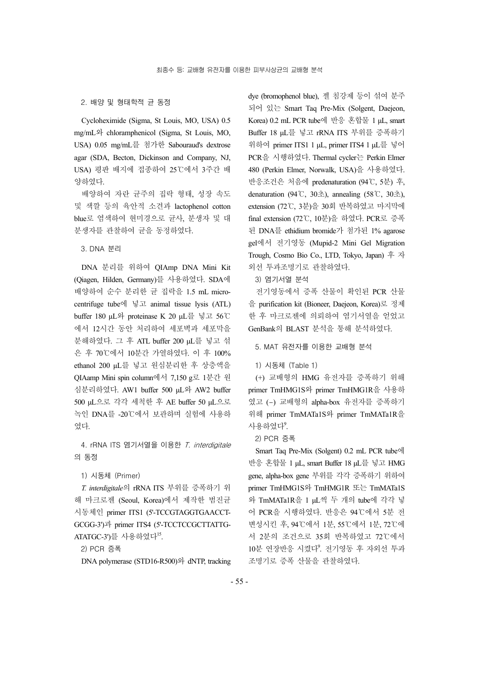#### 2. 배양 및 형태학적 균 동정

Cycloheximide (Sigma, St Louis, MO, USA) 0.5 mg/mL와 chloramphenicol (Sigma, St Louis, MO, USA) 0.05 mg/mL를 첨가한 Sabouraud's dextrose agar (SDA, Becton, Dickinson and Company, NJ, USA) 평판 배지에 접종하여 25℃에서 3주간 배 양하였다.

배양하여 자란 균주의 집락 형태, 성장 속도 및 색깔 등의 육안적 소견과 lactophenol cotton blue로 염색하여 현미경으로 균사, 분생자 및 대 분생자를 관찰하여 균을 동정하였다.

3. DNA 분리

DNA 분리를 위하여 QIAmp DNA Mini Kit (Qiagen, Hilden, Germany)를 사용하였다. SDA에 배양하여 순수 분리한 균 집락을 1.5 mL microcentrifuge tube에 넣고 animal tissue lysis (ATL) buffer 180 μL와 proteinase K 20 μL를 넣고 56℃ 에서 12시간 동안 처리하여 세포벽과 세포막을 분해하였다. 그 후 ATL buffer 200 μL를 넣고 섞 은 후 70℃에서 10분간 가열하였다. 이 후 100% ethanol 200 μL를 넣고 원심분리한 후 상층액을 QIAamp Mini spin column에서 7,150 g로 1분간 원 심분리하였다. AW1 buffer 500 μL와 AW2 buffer 500 μL으로 각각 세척한 후 AE buffer 50 μL으로 녹인 DNA를 -20℃에서 보관하며 실험에 사용하 였다.

4. rRNA ITS 염기서열을 이용한 T. interdigitale 의 동정

1) 시동체 (Primer)

*T. interdigitale*의 rRNA ITS 부위를 증폭하기 위 해 마크로젠 (Seoul, Korea)에서 제작한 범진균 시동체인 primer ITS1 (5'-TCCGTAGGTGAACCT-GCGG-3')과 primer ITS4 (5'-TCCTCCGCTTATTG-ATATGC-3')를 사용하였다<sup>15</sup>.

2) PCR 증폭

DNA polymerase (STD16-R500)와 dNTP, tracking

dye (bromophenol blue), 젤 침강제 등이 섞여 분주 되어 있는 Smart Taq Pre-Mix (Solgent, Daejeon, Korea) 0.2 mL PCR tube에 반응 혼합물 1 μL, smart Buffer 18 μL를 넣고 rRNA ITS 부위를 증폭하기 위하여 primer ITS1 1 μL, primer ITS4 1 μL를 넣어 PCR을 시행하였다. Thermal cycler는 Perkin Elmer 480 (Perkin Elmer, Norwalk, USA)을 사용하였다. 반응조건은 처음에 predenaturation (94℃, 5분) 후, denaturation (94℃, 30초), annealing (58℃, 30초), extension (72℃, 3분)을 30회 반복하였고 마지막에 final extension (72℃, 10분)을 하였다. PCR로 증폭 된 DNA를 ethidium bromide가 첨가된 1% agarose gel에서 전기영동 (Mupid-2 Mini Gel Migration Trough, Cosmo Bio Co., LTD, Tokyo, Japan) 후 자 외선 투과조명기로 관찰하였다.

3) 염기서열 분석

전기영동에서 증폭 산물이 확인된 PCR 산물 을 purification kit (Bioneer, Daejeon, Korea)로 정제 한 후 마크로젠에 의뢰하여 염기서열을 얻었고 GenBank의 BLAST 분석을 통해 분석하였다.

5. MAT 유전자를 이용한 교배형 분석

1) 시동체 (Table 1)

(+) 교배형의 HMG 유전자를 증폭하기 위해 primer TmHMG1S와 primer TmHMG1R을 사용하 였고 (-) 교배형의 alpha-box 유전자를 증폭하기 위해 primer TmMATa1S와 primer TmMATa1R을 사용하였다<sup>9</sup>.

2) PCR 증폭

Smart Taq Pre-Mix (Solgent) 0.2 mL PCR tube에 반응 혼합물 1 μL, smart Buffer 18 μL를 넣고 HMG gene, alpha-box gene 부위를 각각 증폭하기 위하여 primer TmHMG1S와 TmHMG1R 또는 TmMATa1S 와 TmMATa1R을 1 μL씩 두 개의 tube에 각각 넣 어 PCR을 시행하였다. 반응은 94℃에서 5분 전 변성시킨 후, 94℃에서 1분, 55℃에서 1분, 72℃에 서 2분의 조건으로 35회 반복하였고 72℃에서 10분 연장반응 시켰다<sup>9</sup>. 전기영동 후 자외선 투과 조명기로 증폭 산물을 관찰하였다.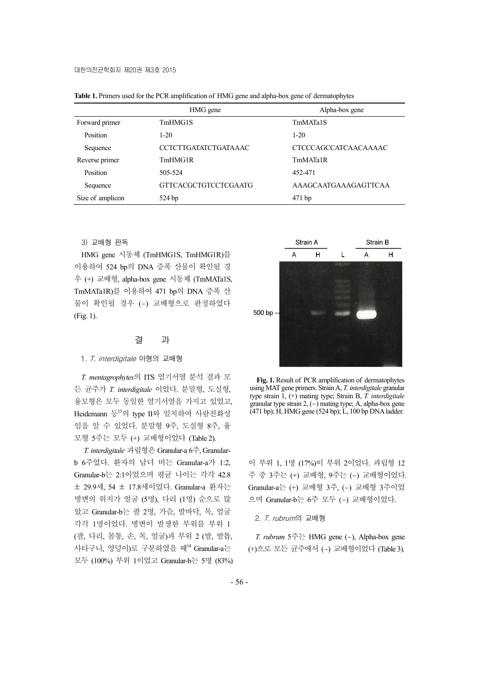|                  | HMG gene             | Alpha-box gene              |
|------------------|----------------------|-----------------------------|
| Forward primer   | TmHMG1S              | TmMATa1S                    |
| Position         | $1-20$               | $1 - 20$                    |
| Sequence         | CCTCTTGATATCTGATAAAC | <b>CTCCCAGCCATCAACAAAAC</b> |
| Reverse primer   | TmHMG1R              | TmMATa1R                    |
| Position         | 505-524              | 452-471                     |
| Sequence         | GTTCACGCTGTCCTCGAATG | AAAGCAATGAAAGAGTTCAA        |
| Size of amplicon | 524bp                | $471$ bp                    |

**Table 1.** Primers used for the PCR amplification of HMG gene and alpha-box gene of dermatophytes

3) 교배형 판독

HMG gene 시동체 (TmHMG1S, TmHMG1R)를 이용하여 524 bp의 DNA 증폭 산물이 확인될 경 우 (+) 교배형, alpha-box gene 시동체 (TmMATa1S, TmMATa1R)를 이용하여 471 bp의 DNA 증폭 산 물이 확인될 경우 (-) 교배형으로 판정하였다 (Fig. 1).

# 결 과

#### 1. T. interdigitale 아형의 교배형

*T. mentagrophytes*의 ITS 염기서열 분석 결과 모 든 균주가 *T. interdigitale* 이었다. 분말형, 도실형, 융모형은 모두 동일한 염기서열을 가지고 있었고, Heidemann 등<sup>13</sup>의 type II와 일치하여 사람친화성 임을 알 수 있었다. 분말형 9주, 도실형 8주, 융 모형 5주는 모두 (+) 교배형이었다 (Table 2).

*T. interdigitale* 과립형은 Granular-a 6주, Granularb 6주였다. 환자의 남녀 비는 Granular-a가 1:2, Granular-b는 2:1이었으며 평균 나이는 각각 42.8 ± 29.9세, 54 ± 17.8세이었다. Granular-a 환자는 병변의 위치가 얼굴 (5명), 다리 (1명) 순으로 많 았고 Granular-b는 팔 2명, 가슴, 발바닥, 목, 얼굴 각각 1명이었다. 병변이 발생한 부위를 부위 1 (팔, 다리, 몸통, 손, 목, 얼굴)과 부위 2 (발, 발톱, 사타구니, 엉덩이)로 구분하였을 때14 Granular-a는 모두 (100%) 부위 1이었고 Granular-b는 5명 (83%)



**Fig. 1.** Result of PCR amplification of dermatophytes using MAT gene primers. Strain A, *T. interdigitale* granular type strain 1, (+) mating type; Strain B, *T. interdigitale* granular type strain  $2$ ,  $(-)$  mating type; A, alpha-box gene (471 bp); H, HMG gene (524 bp); L, 100 bp DNA ladder.

이 부위 1, 1명 (17%)이 부위 2이었다. 과립형 12 주 중 3주는 (+) 교배형, 9주는 (-) 교배형이었다. Granular-a는 (+) 교배형 3주, (-) 교배형 3주이었 으며 Granular-b는 6주 모두 (-) 교배형이었다.

2. T. rubrum의 교배형

*T. rubrum* 5주는 HMG gene (-), Alpha-box gene (+)으로 모든 균주에서 (-) 교배형이었다 (Table 3).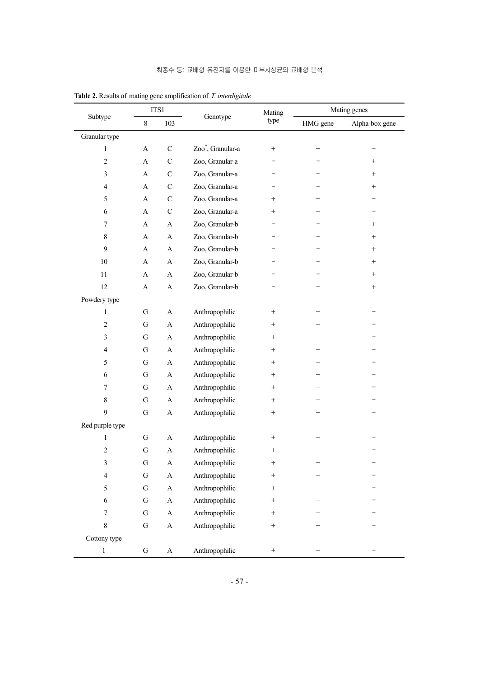| Subtype                  | ITS1                  |                           | Genotype                      | Mating            | Mating genes    |                 |  |  |
|--------------------------|-----------------------|---------------------------|-------------------------------|-------------------|-----------------|-----------------|--|--|
|                          | $\,8\,$               | 103                       |                               | type              | HMG gene        | Alpha-box gene  |  |  |
| Granular type            |                       |                           |                               |                   |                 |                 |  |  |
| $\mathbf{1}$             | $\boldsymbol{\rm{A}}$ | $\mathbf C$               | Zoo <sup>*</sup> , Granular-a | $^{+}$            | $\! + \!\!\!\!$ |                 |  |  |
| $\sqrt{2}$               | $\mathbf{A}$          | $\mathbf C$               | Zoo, Granular-a               |                   |                 | $^{+}$          |  |  |
| $\mathfrak{Z}$           | A                     | $\mathsf{C}$              | Zoo, Granular-a               |                   |                 | $^{+}$          |  |  |
| 4                        | A                     | $\mathbf C$               | Zoo, Granular-a               |                   |                 | $\! + \!\!\!\!$ |  |  |
| 5                        | A                     | $\mathbf C$               | Zoo, Granular-a               | $^{+}$            | $^{+}$          |                 |  |  |
| 6                        | A                     | $\mathbf C$               | Zoo, Granular-a               | $^{+}$            | $^{+}$          |                 |  |  |
| 7                        | A                     | A                         | Zoo, Granular-b               |                   |                 | $^{+}$          |  |  |
| $\,$ 8 $\,$              | A                     | A                         | Zoo, Granular-b               |                   |                 | $^{+}$          |  |  |
| 9                        | A                     | A                         | Zoo, Granular-b               |                   |                 | $\! + \!\!\!\!$ |  |  |
| 10                       | A                     | A                         | Zoo, Granular-b               |                   |                 | $\! + \!\!\!\!$ |  |  |
| 11                       | A                     | A                         | Zoo, Granular-b               |                   |                 | $\! + \!\!\!\!$ |  |  |
| 12                       | A                     | A                         | Zoo, Granular-b               |                   |                 | $\! + \!\!\!\!$ |  |  |
| Powdery type             |                       |                           |                               |                   |                 |                 |  |  |
| $\mathbf{1}$             | ${\bf G}$             | A                         | Anthropophilic                | $\! + \!\!\!\!$   | $\! + \!\!\!\!$ |                 |  |  |
| $\sqrt{2}$               | ${\bf G}$             | A                         | Anthropophilic                | $^{+}$            | $^{+}$          |                 |  |  |
| 3                        | ${\bf G}$             | A                         | Anthropophilic                | $^{+}$            | $\! + \!\!\!\!$ |                 |  |  |
| 4                        | ${\bf G}$             | A                         | Anthropophilic                | $^{+}$            | $+$             |                 |  |  |
| 5                        | ${\bf G}$             | A                         | Anthropophilic                | $\! + \!\!\!\!$   | $^{+}$          |                 |  |  |
| 6                        | ${\bf G}$             | A                         | Anthropophilic                | $\! + \!\!\!\!$   | $^{+}$          |                 |  |  |
| $\boldsymbol{7}$         | ${\bf G}$             | A                         | Anthropophilic                | $\! + \!\!\!\!$   | $\! + \!\!\!\!$ |                 |  |  |
| $\,$ 8 $\,$              | ${\bf G}$             | A                         | Anthropophilic                | $\! + \!\!\!\!$   | $\! + \!\!\!\!$ |                 |  |  |
| 9                        | ${\bf G}$             | A                         | Anthropophilic                | $\! + \!\!\!\!$   | $\! + \!\!\!\!$ |                 |  |  |
| Red purple type          |                       |                           |                               |                   |                 |                 |  |  |
| $\mathbf{1}$             | ${\bf G}$             | A                         | Anthropophilic                | $\! + \!\!\!\!$   | $^{+}$          |                 |  |  |
| $\sqrt{2}$               | ${\bf G}$             | A                         | Anthropophilic                | $\! + \!\!\!\!$   | $\! + \!\!\!\!$ |                 |  |  |
| $\overline{\mathbf{3}}$  | ${\bf G}$             | A                         | Anthropophilic                | $^{+}$            | $\! + \!\!\!\!$ |                 |  |  |
| $\overline{\mathcal{A}}$ | ${\bf G}$             | $\mathbf A$               | Anthropophilic                | $^{+}$            | $\! + \!\!\!\!$ |                 |  |  |
| 5                        | ${\bf G}$             | $\boldsymbol{\mathsf{A}}$ | Anthropophilic                | $^{+}$            | $\! + \!\!\!\!$ |                 |  |  |
| 6                        | ${\bf G}$             | $\mathbf A$               | Anthropophilic                | $\! + \!\!\!\!$   | $\! + \!\!\!\!$ |                 |  |  |
| $\tau$                   | ${\bf G}$             | $\mathbf A$               | Anthropophilic                | $^{+}$            | $\! + \!\!\!\!$ |                 |  |  |
| $\,8\,$                  | ${\bf G}$             | $\mathbf A$               | Anthropophilic                | $\! + \!\!\!\!$   | $\! + \!\!\!\!$ |                 |  |  |
| Cottony type             |                       |                           |                               |                   |                 |                 |  |  |
| $\mathbf{1}$             | ${\bf G}$             | $\mathbf A$               | Anthropophilic                | $\qquad \qquad +$ | $^+$            |                 |  |  |

**Table 2.** Results of mating gene amplification of *T. interdigitale*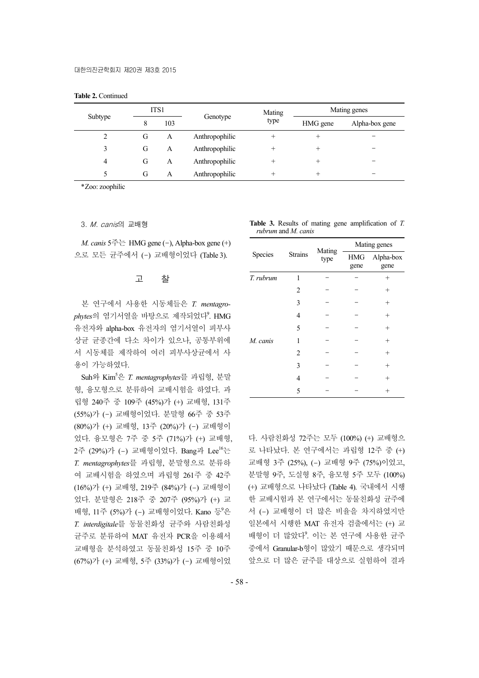|  |  | <b>Table 2. Continued</b> |
|--|--|---------------------------|
|--|--|---------------------------|

|         | ITS1     |          |                | Mating   | Mating genes   |  |  |  |
|---------|----------|----------|----------------|----------|----------------|--|--|--|
| Subtype | 103<br>8 | Genotype | type           | HMG gene | Alpha-box gene |  |  |  |
| 2       | G        | A        | Anthropophilic | +        | $^+$           |  |  |  |
| 3       | G        | A        | Anthropophilic | +        | ÷              |  |  |  |
| 4       | G        | A        | Anthropophilic | +        | $^+$           |  |  |  |
| 5       | G        | A        | Anthropophilic | $^{+}$   | +              |  |  |  |

\*Zoo: zoophilic

3. M. canis의 교배형

*M. canis*  $5 \rightleftharpoons$  HMG gene (-), Alpha-box gene (+) 으로 모든 균주에서 (-) 교배형이었다 (Table 3).

## 고 찰

본 연구에서 사용한 시동체들은 *T. mentagrophytes*의 염기서열을 바탕으로 제작되었다<sup>9</sup> . HMG 유전자와 alpha-box 유전자의 염기서열이 피부사 상균 균종간에 다소 차이가 있으나, 공통부위에 서 시동체를 제작하여 여러 피부사상균에서 사 용이 가능하였다.

Suh와 Kim5 은 *T. mentagrophytes*를 과립형, 분말 형, 융모형으로 분류하여 교배시험을 하였다. 과 립형 240주 중 109주 (45%)가 (+) 교배형, 131주 (55%)가 (-) 교배형이었다. 분말형 66주 중 53주 (80%)가 (+) 교배형, 13주 (20%)가 (-) 교배형이 었다. 융모형은 7주 중 5주 (71%)가 (+) 교배형, 2주 (29%)가 (-) 교배형이었다. Bang과 Lee<sup>16</sup>는 *T. mentagrophytes*를 과립형, 분말형으로 분류하 여 교배시험을 하였으며 과립형 261주 중 42주 (16%)가 (+) 교배형, 219주 (84%)가 (-) 교배형이 었다. 분말형은 218주 중 207주 (95%)가 (+) 교 배형, 11주 (5%)가 (-) 교배형이었다. Kano 등<sup>9</sup>은 *T. interdigitale*를 동물친화성 균주와 사람친화성 균주로 분류하여 MAT 유전자 PCR을 이용해서 교배형을 분석하였고 동물친화성 15주 중 10주 (67%)가 (+) 교배형, 5주 (33%)가 (-) 교배형이었

**Table 3.** Results of mating gene amplification of *T. rubrum* and *M. canis*

| Species   |                | Mating | Mating genes       |                   |  |  |
|-----------|----------------|--------|--------------------|-------------------|--|--|
|           | <b>Strains</b> | type   | <b>HMG</b><br>gene | Alpha-box<br>gene |  |  |
| T. rubrum | 1              |        |                    | $^{+}$            |  |  |
|           | 2              |        |                    | $^+$              |  |  |
|           | 3              |        |                    | $^+$              |  |  |
|           | 4              |        |                    | $^{+}$            |  |  |
|           | 5              |        |                    | $^{+}$            |  |  |
| M. canis  | 1              |        |                    | $^{+}$            |  |  |
|           | 2              |        |                    | $^{+}$            |  |  |
|           | 3              |        |                    | $^{+}$            |  |  |
|           | 4              |        |                    | $^+$              |  |  |
|           | 5              |        |                    |                   |  |  |

다. 사람친화성 72주는 모두 (100%) (+) 교배형으 로 나타났다. 본 연구에서는 과립형 12주 중 (+) 교배형 3주 (25%), (-) 교배형 9주 (75%)이었고, 분말형 9주, 도실형 8주, 융모형 5주 모두 (100%) (+) 교배형으로 나타났다 (Table 4). 국내에서 시행 한 교배시험과 본 연구에서는 동물친화성 균주에 서 (-) 교배형이 더 많은 비율을 차지하였지만 일본에서 시행한 MAT 유전자 검출에서는 (+) 교 배형이 더 많았다<sup>9</sup>. 이는 본 연구에 사용한 균주 중에서 Granular-b형이 많았기 때문으로 생각되며 앞으로 더 많은 균주를 대상으로 실험하여 결과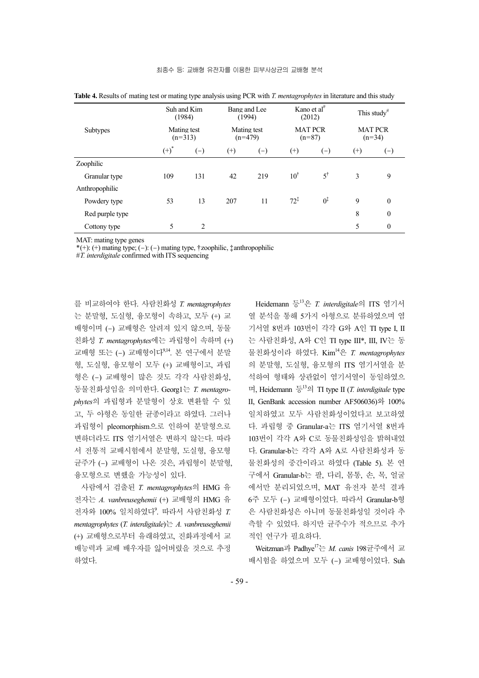|                 | Suh and Kim<br>(1984) |                          | Bang and Lee<br>(1994) |                          |                | Kano et al <sup>#</sup><br>(2012) | This study <sup>#</sup> |                            |  |
|-----------------|-----------------------|--------------------------|------------------------|--------------------------|----------------|-----------------------------------|-------------------------|----------------------------|--|
| <b>Subtypes</b> |                       | Mating test<br>$(n=313)$ |                        | Mating test<br>$(n=479)$ |                | <b>MAT PCR</b><br>$(n=87)$        |                         | <b>MAT PCR</b><br>$(n=34)$ |  |
|                 | $(+)^{*}$             | $(-)$                    | $^{(+)}$               | $(-)$                    | $^{(+)}$       | $(-)$                             | $^{(+)}$                | $(-)$                      |  |
| Zoophilic       |                       |                          |                        |                          |                |                                   |                         |                            |  |
| Granular type   | 109                   | 131                      | 42                     | 219                      | $10^{\dagger}$ | $5^{\dagger}$                     | 3                       | 9                          |  |
| Anthropophilic  |                       |                          |                        |                          |                |                                   |                         |                            |  |
| Powdery type    | 53                    | 13                       | 207                    | 11                       | $72^{1}$       | $0^{\ddagger}$                    | 9                       | $\theta$                   |  |
| Red purple type |                       |                          |                        |                          |                |                                   | 8                       | $\boldsymbol{0}$           |  |
| Cottony type    | 5                     | 2                        |                        |                          |                |                                   | 5                       | $\boldsymbol{0}$           |  |

**Table 4.** Results of mating test or mating type analysis using PCR with *T. mentagrophytes* in literature and this study

MAT: mating type genes

\*(+): (+) mating type; (-): (-) mating type, †zoophilic, ‡anthropophilic

#*T. interdigitale* confirmed with ITS sequencing

를 비교하여야 한다. 사람친화성 *T. mentagrophytes* 는 분말형, 도실형, 융모형이 속하고, 모두 (+) 교 배형이며 (-) 교배형은 알려져 있지 않으며, 동물 친화성 *T. mentagrophytes*에는 과립형이 속하며 (+) 교배형 또는 (-) 교배형이다9,14. 본 연구에서 분말 형, 도실형, 융모형이 모두 (+) 교배형이고, 과립 형은 (-) 교배형이 많은 것도 각각 사람친화성, 동물친화성임을 의미한다. Georg1는 *T. mentagrophytes*의 과립형과 분말형이 상호 변환할 수 있 고, 두 아형은 동일한 균종이라고 하였다. 그러나 과립형이 pleomorphism으로 인하여 분말형으로 변하더라도 ITS 염기서열은 변하지 않는다. 따라 서 전통적 교배시험에서 분말형, 도실형, 융모형 균주가 (-) 교배형이 나온 것은, 과립형이 분말형, 융모형으로 변했을 가능성이 있다.

사람에서 검출된 *T. mentagrophytes*의 HMG 유 전자는 *A. vanbreuseghemii* (+) 교배형의 HMG 유 전자와 100% 일치하였다<sup>9</sup> . 따라서 사람친화성 *T. mentagrophytes* (*T. interdigitale*)는 *A. vanbreuseghemii* (+) 교배형으로부터 유래하였고, 진화과정에서 교 배능력과 교배 배우자를 잃어버렸을 것으로 추정 하였다.

Heidemann 등<sup>13</sup>은 *T. interdigitale*의 ITS 염기서 열 분석을 통해 5가지 아형으로 분류하였으며 염 기서열 8번과 103번이 각각 G와 A인 TI type I, II 는 사람친화성, A와 C인 TI type III\*, III, IV는 동 물친화성이라 하였다. Kim14은 *T. mentagrophytes* 의 분말형, 도실형, 융모형의 ITS 염기서열을 분 석하여 형태와 상관없이 염기서열이 동일하였으 며, Heidemann 등<sup>13</sup>의 TI type II (*T. interdigitale* type II, GenBank accession number AF506036)와 100% 일치하였고 모두 사람친화성이었다고 보고하였 다. 과립형 중 Granular-a는 ITS 염기서열 8번과 103번이 각각 A와 C로 동물친화성임을 밝혀내었 다. Granular-b는 각각 A와 A로 사람친화성과 동 물친화성의 중간이라고 하였다 (Table 5). 본 연 구에서 Granular-b는 팔, 다리, 몸통, 손, 목, 얼굴 에서만 분리되었으며, MAT 유전자 분석 결과 6주 모두 (-) 교배형이었다. 따라서 Granular-b형 은 사람친화성은 아니며 동물친화성일 것이라 추 측할 수 있었다. 하지만 균주수가 적으므로 추가 적인 연구가 필요하다.

Weitzman과 Padhye17는 *M. canis* 198균주에서 교 배시험을 하였으며 모두 (-) 교배형이었다. Suh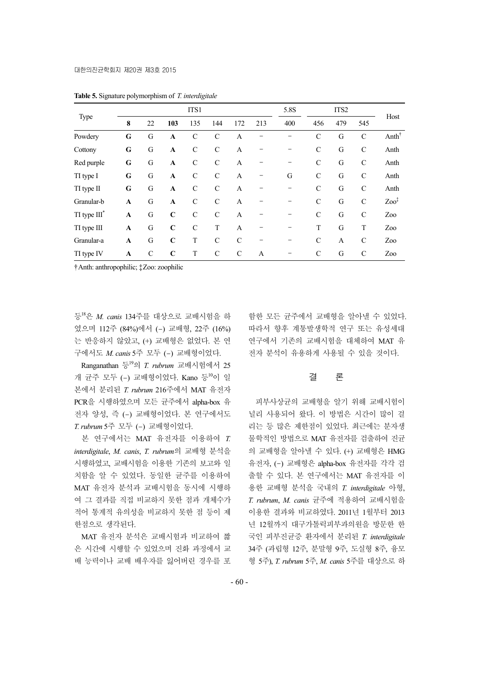|                   |              |               |              | ITS1          |               |                |     | 5.8S |               | ITS2         |               |                                       |
|-------------------|--------------|---------------|--------------|---------------|---------------|----------------|-----|------|---------------|--------------|---------------|---------------------------------------|
| Type              | 8            | 22            | 103          | 135           | 144           | 172            | 213 | 400  | 456           | 479          | 545           | Host                                  |
| Powdery           | G            | G             | $\mathbf{A}$ | $\mathcal{C}$ | $\mathcal{C}$ | $\mathbf{A}$   |     |      | C             | G            | $\mathcal{C}$ | Anth <sup><math>\uparrow</math></sup> |
| Cottony           | G            | G             | $\mathbf{A}$ | $\mathcal{C}$ | $\mathcal{C}$ | A              |     |      | $\mathcal{C}$ | G            | $\mathcal{C}$ | Anth                                  |
| Red purple        | G            | G             | $\mathbf{A}$ | $\mathcal{C}$ | $\mathcal{C}$ | A              |     |      | $\mathcal{C}$ | G            | $\mathcal{C}$ | Anth                                  |
| TI type I         | G            | G             | $\mathbf{A}$ | $\mathcal{C}$ | $\mathcal{C}$ | $\mathbf{A}$   |     | G    | $\mathcal{C}$ | G            | $\mathcal{C}$ | Anth                                  |
| TI type II        | G            | G             | $\mathbf{A}$ | $\mathcal{C}$ | $\mathcal{C}$ | $\mathbf{A}$   |     |      | $\mathcal{C}$ | G            | $\mathcal{C}$ | Anth                                  |
| Granular-b        | $\mathbf{A}$ | G             | $\mathbf{A}$ | $\mathcal{C}$ | $\mathcal{C}$ | $\overline{A}$ |     |      | $\mathcal{C}$ | G            | $\mathcal{C}$ | $Zoo^{\ddagger}$                      |
| $TI$ type $III^*$ | $\mathbf{A}$ | G             | $\mathbf C$  | $\mathcal{C}$ | $\mathcal{C}$ | A              |     |      | $\mathcal{C}$ | G            | $\mathcal{C}$ | Zoo                                   |
| TI type III       | A            | G             | $\mathbf C$  | $\mathcal{C}$ | T             | $\overline{A}$ |     |      | T             | G            | T             | Zoo                                   |
| Granular-a        | $\mathbf{A}$ | G             | $\mathbf C$  | T             | $\mathcal{C}$ | $\mathcal{C}$  |     |      | C             | $\mathbf{A}$ | $\mathcal{C}$ | Zoo                                   |
| TI type IV        | A            | $\mathcal{C}$ | $\mathbf C$  | T             | C             | $\mathcal{C}$  | A   |      | C             | G            | $\mathcal{C}$ | Zoo                                   |

**Table 5.** Signature polymorphism of *T. interdigitale*

†Anth: anthropophilic; ‡Zoo: zoophilic

등<sup>18</sup>은 *M. canis* 134주를 대상으로 교배시험을 하 였으며 112주 (84%)에서 (-) 교배형, 22주 (16%) 는 반응하지 않았고, (+) 교배형은 없었다. 본 연 구에서도 *M. canis* 5주 모두 (-) 교배형이었다.

Ranganathan 등<sup>19</sup>의 *T. rubrum* 교배시험에서 25 개 균주 모두 (-) 교배형이었다. Kano 등 이 일 본에서 분리된 *T. rubrum* 216주에서 MAT 유전자 PCR을 시행하였으며 모든 균주에서 alpha-box 유 전자 양성, 즉 (-) 교배형이었다. 본 연구에서도 *T. rubrum* 5주 모두 (-) 교배형이었다.

본 연구에서는 MAT 유전자를 이용하여 *T. interdigitale*, *M. canis*, *T. rubrum*의 교배형 분석을 시행하였고, 교배시험을 이용한 기존의 보고와 일 치함을 알 수 있었다. 동일한 균주를 이용하여 MAT 유전자 분석과 교배시험을 동시에 시행하 여 그 결과를 직접 비교하지 못한 점과 개체수가 적어 통계적 유의성을 비교하지 못한 점 등이 제 한점으로 생각된다.

MAT 유전자 분석은 교배시험과 비교하여 짧 은 시간에 시행할 수 있었으며 진화 과정에서 교 배 능력이나 교배 배우자를 잃어버린 경우를 포

함한 모든 균주에서 교배형을 알아낼 수 있었다. 따라서 향후 계통발생학적 연구 또는 유성세대 연구에서 기존의 교배시험을 대체하여 MAT 유 전자 분석이 유용하게 사용될 수 있을 것이다.

## 결 론

피부사상균의 교배형을 알기 위해 교배시험이 널리 사용되어 왔다. 이 방법은 시간이 많이 걸 리는 등 많은 제한점이 있었다. 최근에는 분자생 물학적인 방법으로 MAT 유전자를 검출하여 진균 의 교배형을 알아낼 수 있다. (+) 교배형은 HMG 유전자, (-) 교배형은 alpha-box 유전자를 각각 검 출할 수 있다. 본 연구에서는 MAT 유전자를 이 용한 교배형 분석을 국내의 *T. interdigitale* 아형, *T. rubrum*, *M. canis* 균주에 적용하여 교배시험을 이용한 결과와 비교하였다. 2011년 1월부터 2013 년 12월까지 대구가톨릭피부과의원을 방문한 한 국인 피부진균증 환자에서 분리된 *T. interdigitale* 34주 (과립형 12주, 분말형 9주, 도실형 8주, 융모 형 5주), *T. rubrum* 5주, *M. canis* 5주를 대상으로 하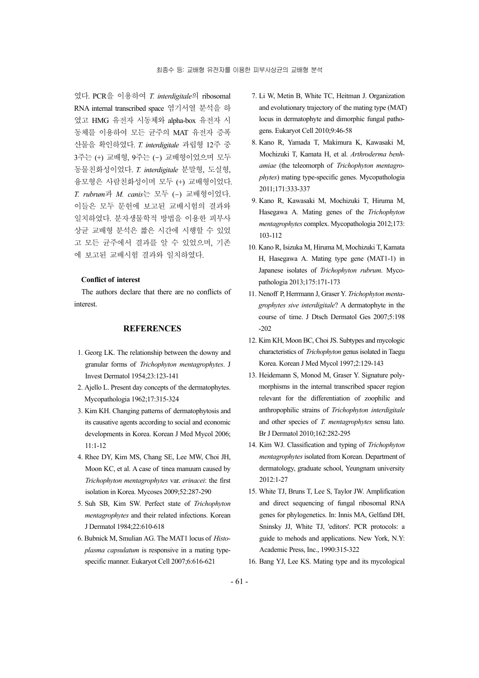였다. PCR을 이용하여 *T. interdigitale*의 ribosomal RNA internal transcribed space 염기서열 분석을 하 였고 HMG 유전자 시동체와 alpha-box 유전자 시 동체를 이용하여 모든 균주의 MAT 유전자 증폭 산물을 확인하였다. *T. interdigitale* 과립형 12주 중 3주는 (+) 교배형, 9주는 (-) 교배형이었으며 모두 동물친화성이었다. *T. interdigitale* 분말형, 도실형, 융모형은 사람친화성이며 모두 (+) 교배형이었다. *T. rubrum*과 *M. canis*는 모두 (-) 교배형이었다. 이들은 모두 문헌에 보고된 교배시험의 결과와 일치하였다. 분자생물학적 방법을 이용한 피부사 상균 교배형 분석은 짧은 시간에 시행할 수 있었 고 모든 균주에서 결과를 알 수 있었으며, 기존 에 보고된 교배시험 결과와 일치하였다.

#### **Conflict of interest**

The authors declare that there are no conflicts of interest.

### **REFERENCES**

- 1. Georg LK. The relationship between the downy and granular forms of *Trichophyton mentagrophytes*. J Invest Dermatol 1954;23:123-141
- 2. Ajello L. Present day concepts of the dermatophytes. Mycopathologia 1962;17:315-324
- 3. Kim KH. Changing patterns of dermatophytosis and its causative agents according to social and economic developments in Korea. Korean J Med Mycol 2006; 11:1-12
- 4. Rhee DY, Kim MS, Chang SE, Lee MW, Choi JH, Moon KC, et al. A case of tinea manuum caused by *Trichophyton mentagrophytes* var. *erinacei*: the first isolation in Korea. Mycoses 2009;52:287-290
- 5. Suh SB, Kim SW. Perfect state of *Trichophyton mentagrophytes* and their related infections. Korean J Dermatol 1984;22:610-618
- 6. Bubnick M, Smulian AG. The MAT1 locus of *Histoplasma capsulatum* is responsive in a mating typespecific manner. Eukaryot Cell 2007;6:616-621
- 7. Li W, Metin B, White TC, Heitman J. Organization and evolutionary trajectory of the mating type (MAT) locus in dermatophyte and dimorphic fungal pathogens. Eukaryot Cell 2010;9:46-58
- 8. Kano R, Yamada T, Makimura K, Kawasaki M, Mochizuki T, Kamata H, et al. *Arthroderma benhamiae* (the teleomorph of *Trichophyton mentagrophytes*) mating type-specific genes. Mycopathologia 2011;171:333-337
- 9. Kano R, Kawasaki M, Mochizuki T, Hiruma M, Hasegawa A. Mating genes of the *Trichophyton mentagrophytes* complex. Mycopathologia 2012;173: 103-112
- 10. Kano R, Isizuka M, Hiruma M, Mochizuki T, Kamata H, Hasegawa A. Mating type gene (MAT1-1) in Japanese isolates of *Trichophyton rubrum*. Mycopathologia 2013;175:171-173
- 11. Nenoff P, Herrmann J, Graser Y. *Trichophyton mentagrophytes sive interdigitale*? A dermatophyte in the course of time. J Dtsch Dermatol Ges 2007;5:198 -202
- 12. Kim KH, Moon BC, Choi JS. Subtypes and mycologic characteristics of *Trichophyton* genus isolated in Taegu Korea. Korean J Med Mycol 1997;2:129-143
- 13. Heidemann S, Monod M, Graser Y. Signature polymorphisms in the internal transcribed spacer region relevant for the differentiation of zoophilic and anthropophilic strains of *Trichophyton interdigitale* and other species of *T. mentagrophytes* sensu lato. Br J Dermatol 2010;162:282-295
- 14. Kim WJ. Classification and typing of *Trichophyton mentagrophytes* isolated from Korean. Department of dermatology, graduate school, Yeungnam university 2012:1-27
- 15. White TJ, Bruns T, Lee S, Taylor JW. Amplification and direct sequencing of fungal ribosomal RNA genes for phylogenetics. In: Innis MA, Gelfand DH, Sninsky JJ, White TJ, 'editors'. PCR protocols: a guide to mehods and applications. New York, N.Y: Academic Press, Inc., 1990:315-322
- 16. Bang YJ, Lee KS. Mating type and its mycological